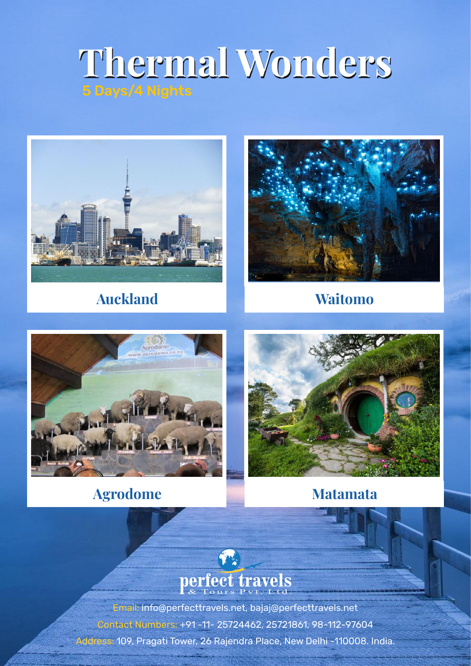# **Thermal Wonders Thermal Wonders** 5 Days/4 Nights



## **Auckland Waitomo**





### **Agrodome Matamata**





Email: info@perfecttravels.net, bajaj@perfecttravels.net Contact Numbers: +91 -11- 25724462, 25721861, 98-112-97604 Address: 109, Pragati Tower, 26 Rajendra Place, New Delhi -110008. India.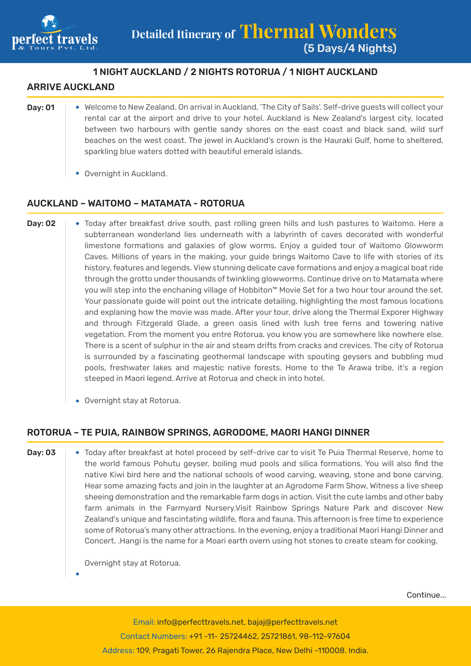

### 1 NIGHT AUCKLAND / 2 NIGHTS ROTORUA / 1 NIGHT AUCKLAND

#### **ARRIVE AUCKLAND**

- Day: 01  $\rightarrow$  Welcome to New Zealand. On arrival in Auckland, 'The City of Sails'. Self-drive guests will collect your rental car at the airport and drive to your hotel. Auckland is New Zealand's largest city, located between two harbours with gentle sandy shores on the east coast and black sand, wild surf beaches on the west coast. The jewel in Auckland's crown is the Hauraki Gulf, home to sheltered, sparkling blue waters dotted with beautiful emerald islands.
	- Overnight in Auckland.

#### AUCKLAND – WAITOMO – MATAMATA - ROTORUA

- **Day: 02**  $\rightarrow$  Today after breakfast drive south, past rolling green hills and lush pastures to Waitomo. Here a subterranean wonderland lies underneath with a labyrinth of caves decorated with wonderful limestone formations and galaxies of glow worms. Enjoy a guided tour of Waitomo Glowworm Caves. Millions of years in the making, your guide brings Waitomo Cave to life with stories of its history, features and legends. View stunning delicate cave formations and enjoy a magical boat ride through the grotto under thousands of twinkling glowworms. Continue drive on to Matamata where you will step into the enchaning village of Hobbiton™ Movie Set for a two hour tour around the set. Your passionate guide will point out the intricate detailing, highlighting the most famous locations and explaning how the movie was made. After your tour, drive along the Thermal Exporer Highway and through Fitzgerald Glade, a green oasis lined with lush tree ferns and towering native vegetation. From the moment you entre Rotorua, you know you are somewhere like nowhere else. There is a scent of sulphur in the air and steam drifts from cracks and crevices. The city of Rotorua is surrounded by a fascinating geothermal landscape with spouting geysers and bubbling mud pools, freshwater lakes and majestic native forests. Home to the Te Arawa tribe, it's a region steeped in Maori legend. Arrive at Rotorua and check in into hotel.
	- Overnight stay at Rotorua.

#### ROTORUA – TE PUIA, RAINBOW SPRINGS, AGRODOME, MAORI HANGI DINNER

**Day: 03**  $\rightarrow$  Today after breakfast at hotel proceed by self-drive car to visit Te Puia Thermal Reserve, home to the world famous Pohutu geyser, boiling mud pools and silica formations. You will also find the native Kiwi bird here and the national schools of wood carving, weaving, stone and bone carving. Hear some amazing facts and join in the laughter at an Agrodome Farm Show, Witness a live sheep sheeing demonstration and the remarkable farm dogs in action. Visit the cute lambs and other baby farm animals in the Farmyard Nursery.Visit Rainbow Springs Nature Park and discover New Zealand's unique and fascintating wildlife, flora and fauna. This afternoon is free time to experience some of Rotorua's many other attractions. In the evening, enjoy a traditional Maori Hangi Dinner and Concert. .Hangi is the name for a Moari earth overn using hot stones to create steam for cooking.

Overnight stay at Rotorua.

Continue...

Email: info@perfecttravels.net, bajaj@perfecttravels.net Contact Numbers: +91 -11- 25724462, 25721861, 98-112-97604 Address: 109, Pragati Tower, 26 Rajendra Place, New Delhi -110008. India.